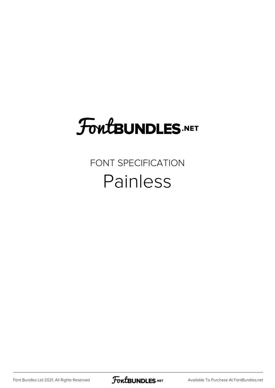## **FoutBUNDLES.NET**

#### FONT SPECIFICATION Painless

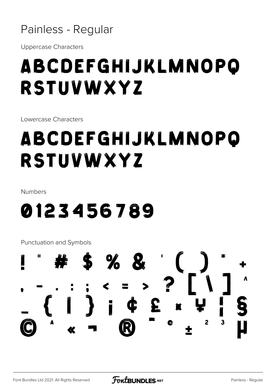Painless - Regular

**Uppercase Characters** 

### ABCDEFGHIJKLMNOPO **RSTUVWXYZ**

Lowercase Characters

### ABCDEFGHIJKLMNOPO RSTUVWXYZ

Numbers

#### 0123456789

Punctuation and Symbols

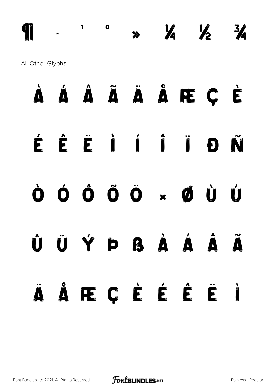$\frac{1}{2}$  $\frac{3}{4}$  $\mathbf{o}$  $\frac{1}{2}$  $\mathbf{I}$  $\blacktriangleright$ All Other Glyphs

#### Á Â Ã Ã Ã Å Æ Ç Ė  $\dot{\mathbf{\Lambda}}$ É Ñ Đ  $\dot{\mathbf{O}}$   $\dot{\mathbf{O}}$   $\ddot{\mathbf{O}}$   $\ddot{\mathbf{O}}$   $\mathbf{N}$   $\dot{\mathbf{O}}$   $\dot{\mathbf{O}}$ Ò Ú Ý Þ ß À Á Â Û Ü Ã ÅRCÉÉÉ  $\ddot{\phantom{a}}$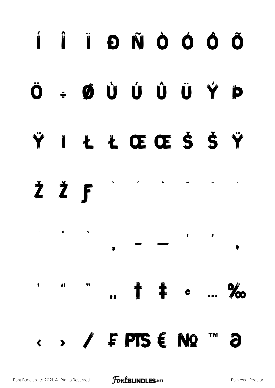#### Í Î Ï Đ Ñ Ò Ó Ô Õ ØÙÚÚÛÝ Ö D  $\frac{1}{2}$ ŁŁŒŒŠŠŸ Y  $\frac{dV}{dV}$ ŽŽF Ω,  $\bullet$  $\pmb{\epsilon}$ y  $\pmb{\mathfrak{e}}$ " 66 ▌ ▌  $\frac{9}{2}$ **EPTSENQ**  $\longleftrightarrow$ TM a